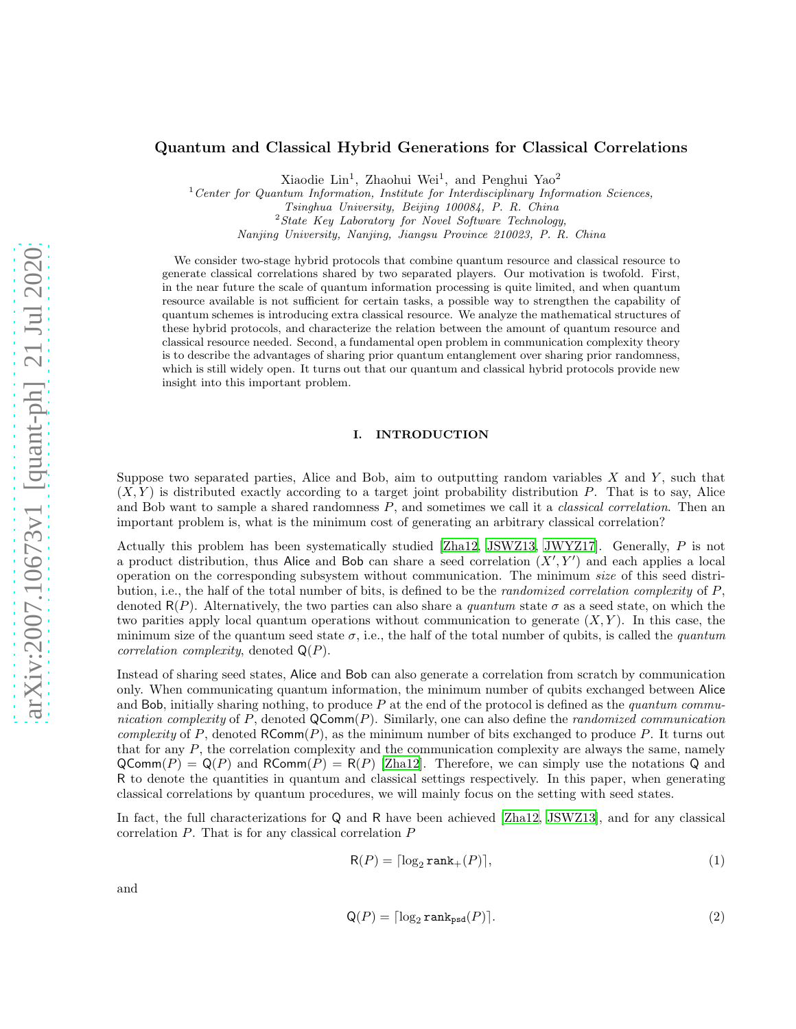# Quantum and Classical Hybrid Generations for Classical Correlations

Xiaodie Lin<sup>1</sup>, Zhaohui Wei<sup>1</sup>, and Penghui Yao<sup>2</sup>

<sup>1</sup>*Center for Quantum Information, Institute for Interdisciplinary Information Sciences, Tsinghua University, Beijing 100084, P. R. China*

<sup>2</sup>*State Key Laboratory for Novel Software Technology,*

*Nanjing University, Nanjing, Jiangsu Province 210023, P. R. China*

We consider two-stage hybrid protocols that combine quantum resource and classical resource to generate classical correlations shared by two separated players. Our motivation is twofold. First, in the near future the scale of quantum information processing is quite limited, and when quantum resource available is not sufficient for certain tasks, a possible way to strengthen the capability of quantum schemes is introducing extra classical resource. We analyze the mathematical structures of these hybrid protocols, and characterize the relation between the amount of quantum resource and classical resource needed. Second, a fundamental open problem in communication complexity theory is to describe the advantages of sharing prior quantum entanglement over sharing prior randomness, which is still widely open. It turns out that our quantum and classical hybrid protocols provide new insight into this important problem.

## I. INTRODUCTION

Suppose two separated parties, Alice and Bob, aim to outputting random variables  $X$  and  $Y$ , such that  $(X, Y)$  is distributed exactly according to a target joint probability distribution P. That is to say, Alice and Bob want to sample a shared randomness  $P$ , and sometimes we call it a *classical correlation*. Then an important problem is, what is the minimum cost of generating an arbitrary classical correlation?

Actually this problem has been systematically studied [\[Zha12,](#page-12-0) [JSWZ13,](#page-11-0) [JWYZ17\]](#page-11-1). Generally, P is not a product distribution, thus Alice and Bob can share a seed correlation  $(X', Y')$  and each applies a local operation on the corresponding subsystem without communication. The minimum size of this seed distribution, i.e., the half of the total number of bits, is defined to be the *randomized correlation complexity* of P, denoted  $R(P)$ . Alternatively, the two parties can also share a *quantum* state  $\sigma$  as a seed state, on which the two parities apply local quantum operations without communication to generate  $(X, Y)$ . In this case, the minimum size of the quantum seed state  $\sigma$ , i.e., the half of the total number of qubits, is called the *quantum correlation complexity*, denoted  $Q(P)$ .

Instead of sharing seed states, Alice and Bob can also generate a correlation from scratch by communication only. When communicating quantum information, the minimum number of qubits exchanged between Alice and Bob, initially sharing nothing, to produce  $P$  at the end of the protocol is defined as the *quantum commu*nication complexity of  $P$ , denoted  $QComm(P)$ . Similarly, one can also define the *randomized communication* complexity of P, denoted  $\mathsf{RComm}(P)$ , as the minimum number of bits exchanged to produce P. It turns out that for any  $P$ , the correlation complexity and the communication complexity are always the same, namely  $QComm(P) = Q(P)$  and  $RComm(P) = R(P)$  [\[Zha12\]](#page-12-0). Therefore, we can simply use the notations Q and R to denote the quantities in quantum and classical settings respectively. In this paper, when generating classical correlations by quantum procedures, we will mainly focus on the setting with seed states.

In fact, the full characterizations for Q and R have been achieved [\[Zha12,](#page-12-0) [JSWZ13](#page-11-0)], and for any classical correlation P. That is for any classical correlation P

$$
R(P) = \lceil \log_2 \text{rank}_+(P) \rceil,\tag{1}
$$

and

$$
\mathsf{Q}(P) = \lceil \log_2 \text{rank}_{\text{psd}}(P) \rceil. \tag{2}
$$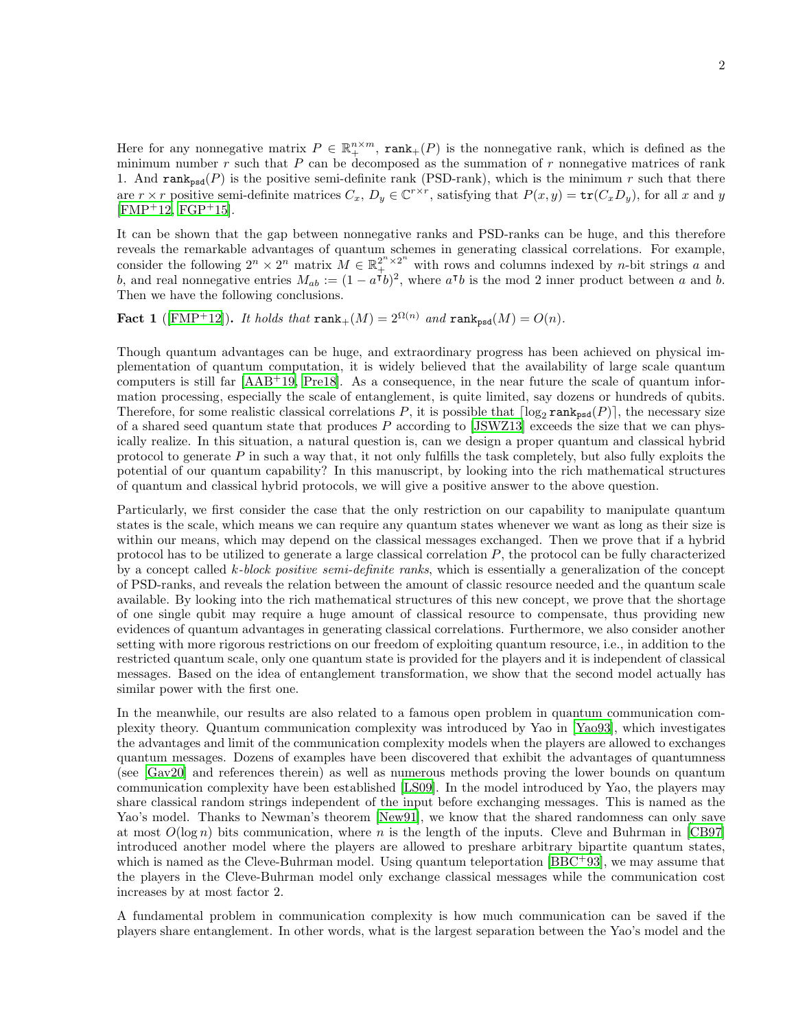Here for any nonnegative matrix  $P \in \mathbb{R}^{n \times m}_+$ ,  $\text{rank}_+(P)$  is the nonnegative rank, which is defined as the minimum number r such that  $P$  can be decomposed as the summation of r nonnegative matrices of rank 1. And rank<sub>psd</sub> $(P)$  is the positive semi-definite rank (PSD-rank), which is the minimum r such that there are  $r \times r$  positive semi-definite matrices  $C_x$ ,  $D_y \in \mathbb{C}^{r \times r}$ , satisfying that  $P(x, y) = \text{tr}(C_x D_y)$ , for all x and y  $[FMP+12, FGP+15].$  $[FMP+12, FGP+15].$  $[FMP+12, FGP+15].$  $[FMP+12, FGP+15].$ 

It can be shown that the gap between nonnegative ranks and PSD-ranks can be huge, and this therefore reveals the remarkable advantages of quantum schemes in generating classical correlations. For example, consider the following  $2^n \times 2^n$  matrix  $M \in \mathbb{R}_+^{2^n \times 2^n}$  with rows and columns indexed by *n*-bit strings a and b, and real nonnegative entries  $M_{ab} := (1 - a^{\dagger}b)^2$ , where  $a^{\dagger}b$  is the mod 2 inner product between a and b. Then we have the following conclusions.

Fact 1 ([\[FMP](#page-11-2)<sup>+</sup>12]). It holds that  $\text{rank}_+(M) = 2^{\Omega(n)}$  and  $\text{rank}_{psd}(M) = O(n)$ .

Though quantum advantages can be huge, and extraordinary progress has been achieved on physical implementation of quantum computation, it is widely believed that the availability of large scale quantum computers is still far [\[AAB](#page-11-4)<sup>+</sup>19, [Pre18\]](#page-11-5). As a consequence, in the near future the scale of quantum information processing, especially the scale of entanglement, is quite limited, say dozens or hundreds of qubits. Therefore, for some realistic classical correlations P, it is possible that  $\lceil \log_2 \text{rank}_{\text{psd}}(P) \rceil$ , the necessary size of a shared seed quantum state that produces P according to [\[JSWZ13\]](#page-11-0) exceeds the size that we can physically realize. In this situation, a natural question is, can we design a proper quantum and classical hybrid protocol to generate  $P$  in such a way that, it not only fulfills the task completely, but also fully exploits the potential of our quantum capability? In this manuscript, by looking into the rich mathematical structures of quantum and classical hybrid protocols, we will give a positive answer to the above question.

Particularly, we first consider the case that the only restriction on our capability to manipulate quantum states is the scale, which means we can require any quantum states whenever we want as long as their size is within our means, which may depend on the classical messages exchanged. Then we prove that if a hybrid protocol has to be utilized to generate a large classical correlation P, the protocol can be fully characterized by a concept called k-block positive semi-definite ranks, which is essentially a generalization of the concept of PSD-ranks, and reveals the relation between the amount of classic resource needed and the quantum scale available. By looking into the rich mathematical structures of this new concept, we prove that the shortage of one single qubit may require a huge amount of classical resource to compensate, thus providing new evidences of quantum advantages in generating classical correlations. Furthermore, we also consider another setting with more rigorous restrictions on our freedom of exploiting quantum resource, i.e., in addition to the restricted quantum scale, only one quantum state is provided for the players and it is independent of classical messages. Based on the idea of entanglement transformation, we show that the second model actually has similar power with the first one.

In the meanwhile, our results are also related to a famous open problem in quantum communication complexity theory. Quantum communication complexity was introduced by Yao in [\[Yao93\]](#page-12-1), which investigates the advantages and limit of the communication complexity models when the players are allowed to exchanges quantum messages. Dozens of examples have been discovered that exhibit the advantages of quantumness (see [Gav20] and references therein) as well as numerous methods proving the lower bounds on quantum communication complexity have been established [LS09]. In the model introduced by Yao, the players may share classical random strings independent of the input before exchanging messages. This is named as the Yao's model. Thanks to Newman's theorem [\[New91\]](#page-11-6), we know that the shared randomness can only save at most  $O(\log n)$  bits communication, where n is the length of the inputs. Cleve and Buhrman in [\[CB97](#page-11-7)] introduced another model where the players are allowed to preshare arbitrary bipartite quantum states, which is named as the Cleve-Buhrman model. Using quantum teleportation  $[BBC^{+}93]$ , we may assume that the players in the Cleve-Buhrman model only exchange classical messages while the communication cost increases by at most factor 2.

A fundamental problem in communication complexity is how much communication can be saved if the players share entanglement. In other words, what is the largest separation between the Yao's model and the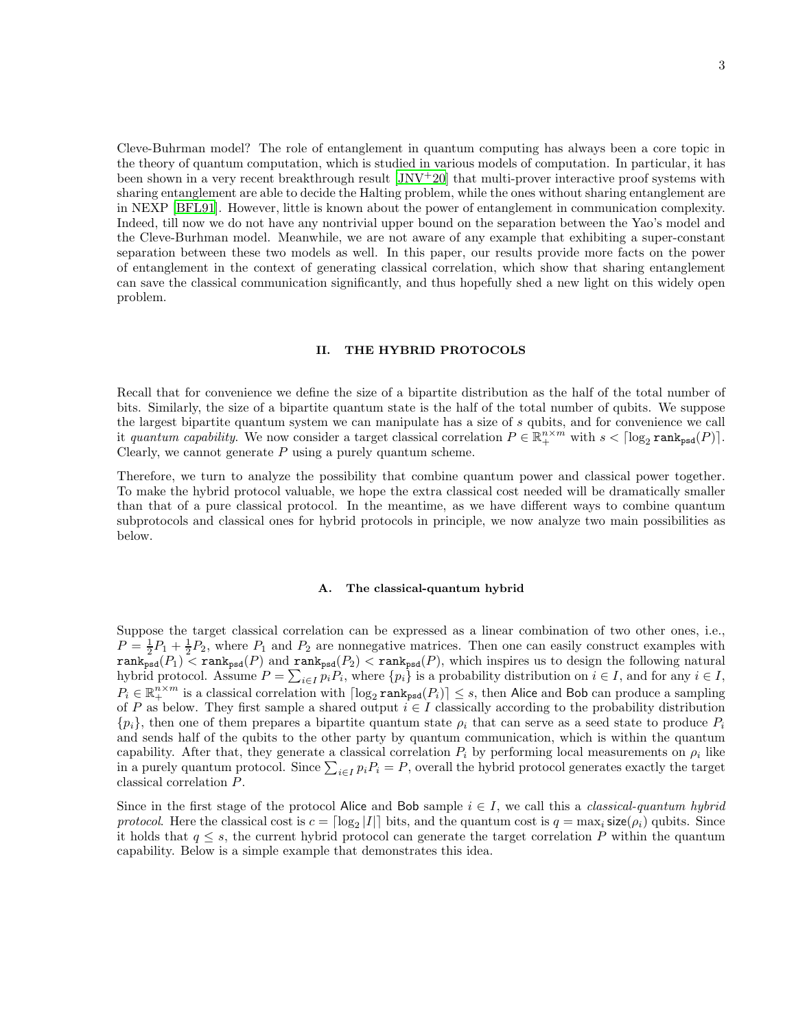Cleve-Buhrman model? The role of entanglement in quantum computing has always been a core topic in the theory of quantum computation, which is studied in various models of computation. In particular, it has been shown in a very recent breakthrough result  $|JNV^+20|$  that multi-prover interactive proof systems with sharing entanglement are able to decide the Halting problem, while the ones without sharing entanglement are in NEXP [\[BFL91](#page-11-10)]. However, little is known about the power of entanglement in communication complexity. Indeed, till now we do not have any nontrivial upper bound on the separation between the Yao's model and the Cleve-Burhman model. Meanwhile, we are not aware of any example that exhibiting a super-constant separation between these two models as well. In this paper, our results provide more facts on the power of entanglement in the context of generating classical correlation, which show that sharing entanglement can save the classical communication significantly, and thus hopefully shed a new light on this widely open problem.

## II. THE HYBRID PROTOCOLS

Recall that for convenience we define the size of a bipartite distribution as the half of the total number of bits. Similarly, the size of a bipartite quantum state is the half of the total number of qubits. We suppose the largest bipartite quantum system we can manipulate has a size of s qubits, and for convenience we call it quantum capability. We now consider a target classical correlation  $P \in \mathbb{R}^{n \times m}_+$  with  $s < \lceil \log_2 \text{rank}_{\text{psd}}(P) \rceil$ . Clearly, we cannot generate  $P$  using a purely quantum scheme.

Therefore, we turn to analyze the possibility that combine quantum power and classical power together. To make the hybrid protocol valuable, we hope the extra classical cost needed will be dramatically smaller than that of a pure classical protocol. In the meantime, as we have different ways to combine quantum subprotocols and classical ones for hybrid protocols in principle, we now analyze two main possibilities as below.

#### A. The classical-quantum hybrid

Suppose the target classical correlation can be expressed as a linear combination of two other ones, i.e.,  $P = \frac{1}{2}P_1 + \frac{1}{2}P_2$ , where  $P_1$  and  $P_2$  are nonnegative matrices. Then one can easily construct examples with  $T = 2^{1}$   $\frac{1}{2}$   $\frac{2}{2}$ , where  $T_1$  and  $T_2$  are homogaved matrices. Then one can easily construct examples with  $\text{rank}_{\text{psd}}(P_1)$  <  $\text{rank}_{\text{psd}}(P)$  and  $\text{rank}_{\text{psd}}(P_2)$  <  $\text{rank}_{\text{psd}}(P)$ , which inspires us t hybrid protocol. Assume  $P = \sum_{i \in I} p_i P_i$ , where  $\{p_i\}$  is a probability distribution on  $i \in I$ , and for any  $i \in I$ ,  $P_i \in \mathbb{R}^{n \times m}_{+}$  is a classical correlation with  $\lceil \log_2 \text{rank}_{psd}(P_i) \rceil \leq s$ , then Alice and Bob can produce a sampling of P as below. They first sample a shared output  $i \in I$  classically according to the probability distribution  $\{p_i\}$ , then one of them prepares a bipartite quantum state  $\rho_i$  that can serve as a seed state to produce  $P_i$ and sends half of the qubits to the other party by quantum communication, which is within the quantum capability. After that, they generate a classical correlation  $P_i$  by performing local measurements on  $\rho_i$  like in a purely quantum protocol. Since  $\sum_{i\in I} p_i P_i = P$ , overall the hybrid protocol generates exactly the target classical correlation P.

Since in the first stage of the protocol Alice and Bob sample  $i \in I$ , we call this a *classical-quantum hybrid* protocol. Here the classical cost is  $c = \lfloor \log_2 |I| \rfloor$  bits, and the quantum cost is  $q = \max_i \text{size}(\rho_i)$  qubits. Since it holds that  $q \leq s$ , the current hybrid protocol can generate the target correlation P within the quantum capability. Below is a simple example that demonstrates this idea.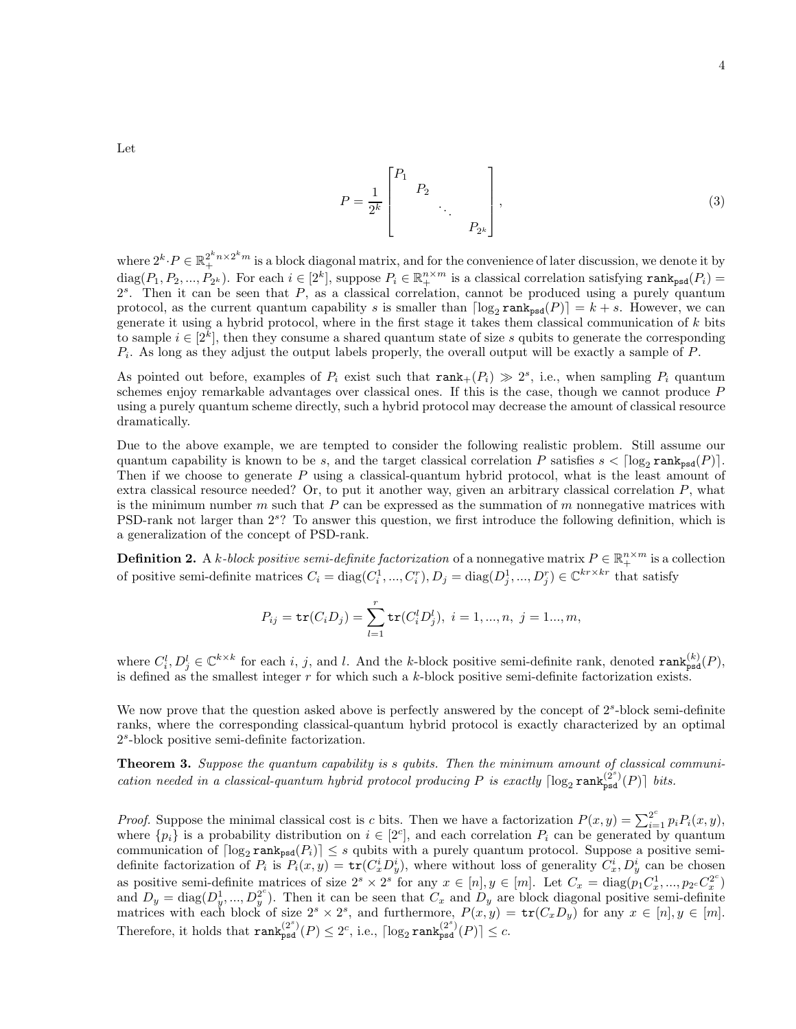Let

<span id="page-3-0"></span>
$$
P = \frac{1}{2^k} \begin{bmatrix} P_1 & & & \\ & P_2 & & \\ & & \ddots & \\ & & & P_{2^k} \end{bmatrix},
$$
 (3)

where  $2^k \cdot P \in \mathbb{R}_+^{2^k n \times 2^k m}$  is a block diagonal matrix, and for the convenience of later discussion, we denote it by  $diag(P_1, P_2, ..., P_{2^k})$ . For each  $i \in [2^k]$ , suppose  $P_i \in \mathbb{R}^{n \times m}_{+}$  is a classical correlation satisfying  $\text{rank}_{psd}(P_i)$  $2<sup>s</sup>$ . Then it can be seen that  $P$ , as a classical correlation, cannot be produced using a purely quantum protocol, as the current quantum capability s is smaller than  $\lceil \log_2 \text{rank}_{\text{psd}}(P) \rceil = k + s$ . However, we can generate it using a hybrid protocol, where in the first stage it takes them classical communication of k bits to sample  $i \in [2^k]$ , then they consume a shared quantum state of size s qubits to generate the corresponding  $P_i$ . As long as they adjust the output labels properly, the overall output will be exactly a sample of  $P$ .

As pointed out before, examples of  $P_i$  exist such that  $\text{rank}_+(P_i) \gg 2^s$ , i.e., when sampling  $P_i$  quantum schemes enjoy remarkable advantages over classical ones. If this is the case, though we cannot produce P using a purely quantum scheme directly, such a hybrid protocol may decrease the amount of classical resource dramatically.

Due to the above example, we are tempted to consider the following realistic problem. Still assume our quantum capability is known to be s, and the target classical correlation P satisfies  $s < \lceil \log_2 \text{rank}_{\text{psd}}(P) \rceil$ . Then if we choose to generate P using a classical-quantum hybrid protocol, what is the least amount of extra classical resource needed? Or, to put it another way, given an arbitrary classical correlation P, what is the minimum number  $m$  such that  $P$  can be expressed as the summation of  $m$  nonnegative matrices with PSD-rank not larger than  $2^{s}$ ? To answer this question, we first introduce the following definition, which is a generalization of the concept of PSD-rank.

**Definition 2.** A k-block positive semi-definite factorization of a nonnegative matrix  $P \in \mathbb{R}_+^{n \times m}$  is a collection of positive semi-definite matrices  $C_i = \text{diag}(C_i^1, ..., C_i^r), D_j = \text{diag}(D_j^1, ..., D_j^r) \in \mathbb{C}^{kr \times kr}$  that satisfy

$$
P_{ij} = \text{tr}(C_i D_j) = \sum_{l=1}^r \text{tr}(C_i^l D_j^l), \ i = 1, ..., n, \ j = 1...,m,
$$

where  $C_i^l, D_j^l \in \mathbb{C}^{k \times k}$  for each i, j, and l. And the k-block positive semi-definite rank, denoted  $\text{rank}_{\text{psd}}^{(k)}(P)$ , is defined as the smallest integer  $r$  for which such a k-block positive semi-definite factorization exists.

We now prove that the question asked above is perfectly answered by the concept of  $2<sup>s</sup>$ -block semi-definite ranks, where the corresponding classical-quantum hybrid protocol is exactly characterized by an optimal 2 s -block positive semi-definite factorization.

Theorem 3. Suppose the quantum capability is s qubits. Then the minimum amount of classical communication needed in a classical-quantum hybrid protocol producing P is exactly  $\lceil \log_2 \text{rank}_{\text{psd}}^{(2^s)}(P) \rceil$  bits.

*Proof.* Suppose the minimal classical cost is c bits. Then we have a factorization  $P(x, y) = \sum_{i=1}^{2^c} p_i P_i(x, y)$ , where  $\{p_i\}$  is a probability distribution on  $i \in [2^c]$ , and each correlation  $P_i$  can be generated by quantum communication of  $\lceil \log_2 \text{rank}_{\text{psd}}(P_i) \rceil \leq s$  qubits with a purely quantum protocol. Suppose a positive semidefinite factorization of  $P_i$  is  $P_i(x,y) = \text{tr}(C_x^i D_y^i)$ , where without loss of generality  $C_x^i, D_y^i$  can be chosen as positive semi-definite matrices of size  $2^s \times 2^s$  for any  $x \in [n], y \in [m]$ . Let  $C_x = \text{diag}(p_1 C_x^1, ..., p_{2c} C_x^{2c})$  $\binom{2^c}{x}$ and  $D_y = \text{diag}(D_y^1, ..., D_y^{2c})$  $y^2$ ). Then it can be seen that  $C_x$  and  $D_y$  are block diagonal positive semi-definite matrices with each block of size  $2^s \times 2^s$ , and furthermore,  $P(x,y) = \text{tr}(C_x D_y)$  for any  $x \in [n], y \in [m]$ . Therefore, it holds that  $\text{rank}_{\text{psd}}^{(2^s)}(P) \leq 2^c$ , i.e.,  $\lceil \log_2 \text{rank}_{\text{psd}}^{(2^s)}(P) \rceil \leq c$ .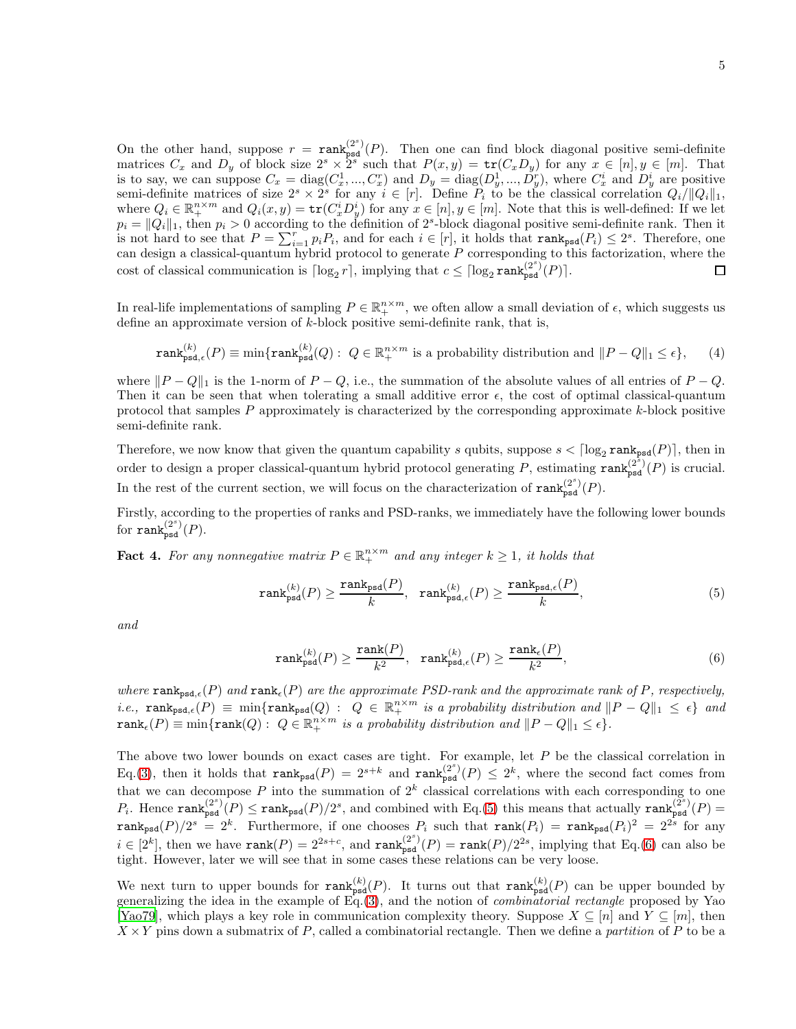On the other hand, suppose  $r = \text{rank}_{\text{psd}}^{(2^s)}(P)$ . Then one can find block diagonal positive semi-definite matrices  $C_x$  and  $D_y$  of block size  $2^s \times 2^s$  such that  $P(x, y) = \text{tr}(C_x D_y)$  for any  $x \in [n], y \in [m]$ . That is to say, we can suppose  $C_x = diag(C_x^1, ..., C_x^r)$  and  $D_y = diag(D_y^1, ..., D_y^r)$ , where  $C_x^i$  and  $D_y^i$  are positive semi-definite matrices of size  $2^s \times 2^s$  for any  $i \in [r]$ . Define  $P_i$  to be the classical correlation  $Q_i/||Q_i||_1$ , where  $Q_i \in \mathbb{R}_+^{n \times m}$  and  $Q_i(x, y) = \text{tr}(C_x^i D_y^i)$  for any  $x \in [n], y \in [m]$ . Note that this is well-defined: If we let  $p_i = ||Q_i||_1$ , then  $p_i > 0$  according to the definition of  $2<sup>s</sup>$ -block diagonal positive semi-definite rank. Then it is not hard to see that  $P = \sum_{i=1}^{r} p_i P_i$ , and for each  $i \in [r]$ , it holds that  $\text{rank}_{psd}(P_i) \leq 2^s$ . Therefore, one can design a classical-quantum hybrid protocol to generate  $P$  corresponding to this factorization, where the cost of classical communication is  $\lceil \log_2 r \rceil$ , implying that  $c \leq \lceil \log_2 \operatorname{rank}_{\text{psd}}^{(2^s)}(P) \rceil$ .  $\Box$ 

In real-life implementations of sampling  $P \in \mathbb{R}^{n \times m}_+$ , we often allow a small deviation of  $\epsilon$ , which suggests us define an approximate version of  $k$ -block positive semi-definite rank, that is,

$$
\operatorname{rank}_{\mathrm{psd},\epsilon}^{(k)}(P) \equiv \min\{\operatorname{rank}_{\mathrm{psd}}^{(k)}(Q): \ Q \in \mathbb{R}_+^{n \times m} \text{ is a probability distribution and } ||P - Q||_1 \le \epsilon\},\qquad(4)
$$

where  $||P - Q||_1$  is the 1-norm of  $P - Q$ , i.e., the summation of the absolute values of all entries of  $P - Q$ . Then it can be seen that when tolerating a small additive error  $\epsilon$ , the cost of optimal classical-quantum protocol that samples  $P$  approximately is characterized by the corresponding approximate  $k$ -block positive semi-definite rank.

Therefore, we now know that given the quantum capability s qubits, suppose  $s < \lceil \log_2 \text{rank}_{psd}(P) \rceil$ , then in order to design a proper classical-quantum hybrid protocol generating  $P$ , estimating  $\text{rank}_{\text{psd}}^{(2^s)}(P)$  is crucial. In the rest of the current section, we will focus on the characterization of  $\text{rank}_{\text{psd}}^{(2^s)}(P)$ .

Firstly, according to the properties of ranks and PSD-ranks, we immediately have the following lower bounds for  $\text{rank}_{\text{psd}}^{(2^s)}(P)$ .

**Fact 4.** For any nonnegative matrix  $P \in \mathbb{R}_+^{n \times m}$  and any integer  $k \geq 1$ , it holds that

<span id="page-4-0"></span>
$$
\text{rank}_{\text{psd}}^{(k)}(P) \ge \frac{\text{rank}_{\text{psd}}(P)}{k}, \quad \text{rank}_{\text{psd},\epsilon}^{(k)}(P) \ge \frac{\text{rank}_{\text{psd},\epsilon}(P)}{k},\tag{5}
$$

and

<span id="page-4-1"></span>
$$
\operatorname{rank}_{\rm psd}^{(k)}(P) \ge \frac{\operatorname{rank}(P)}{k^2}, \quad \operatorname{rank}_{\rm psd, \epsilon}^{(k)}(P) \ge \frac{\operatorname{rank}_{\epsilon}(P)}{k^2},\tag{6}
$$

where  $\texttt{rank}_{\texttt{psd},\epsilon}(P)$  and  $\texttt{rank}_{\epsilon}(P)$  are the approximate PSD-rank and the approximate rank of P, respectively, *i.e.*,  $\text{rank}_{\text{psd},\epsilon}(P) \equiv \min\{\text{rank}_{\text{psd}}(Q) : Q \in \mathbb{R}_+^{n \times m} \text{ is a probability distribution and } ||P - Q||_1 \leq \epsilon\}$  and  $rank_{\epsilon}(P) \equiv \min\{rank(Q): Q \in \mathbb{R}_{+}^{n \times m} \text{ is a probability distribution and } ||P - Q||_{1} \leq \epsilon\}.$ 

The above two lower bounds on exact cases are tight. For example, let  $P$  be the classical correlation in Eq.[\(3\)](#page-3-0), then it holds that  $\text{rank}_{psd}(P) = 2^{s+k}$  and  $\text{rank}_{psd}^{(2^s)}(P) \leq 2^k$ , where the second fact comes from that we can decompose P into the summation of  $2^k$  classical correlations with each corresponding to one  $P_i$ . Hence  $\text{rank}_{\text{psd}}^{(2^s)}(P) \leq \text{rank}_{\text{psd}}(P)/2^s$ , and combined with Eq.[\(5\)](#page-4-0) this means that actually  $\text{rank}_{\text{psd}}^{(2^s)}(P)$  $rank_{psd}(P)/2^s = 2^k$ . Furthermore, if one chooses  $P_i$  such that  $rank(P_i) = rank_{psd}(P_i)^2 = 2^{2s}$  for any  $i \in [2^k]$ , then we have  $\text{rank}(P) = 2^{2s+c}$ , and  $\text{rank}_{\text{psd}}^{(2^s)}(P) = \text{rank}(P)/2^{2s}$ , implying that Eq.[\(6\)](#page-4-1) can also be tight. However, later we will see that in some cases these relations can be very loose.

We next turn to upper bounds for  $\text{rank}_{psd}^{(k)}(P)$ . It turns out that  $\text{rank}_{psd}^{(k)}(P)$  can be upper bounded by generalizing the idea in the example of  $Eq.(3)$  $Eq.(3)$ , and the notion of *combinatorial rectangle* proposed by Yao [\[Yao79\]](#page-11-11), which plays a key role in communication complexity theory. Suppose  $X \subseteq [n]$  and  $Y \subseteq [m]$ , then  $X \times Y$  pins down a submatrix of P, called a combinatorial rectangle. Then we define a partition of P to be a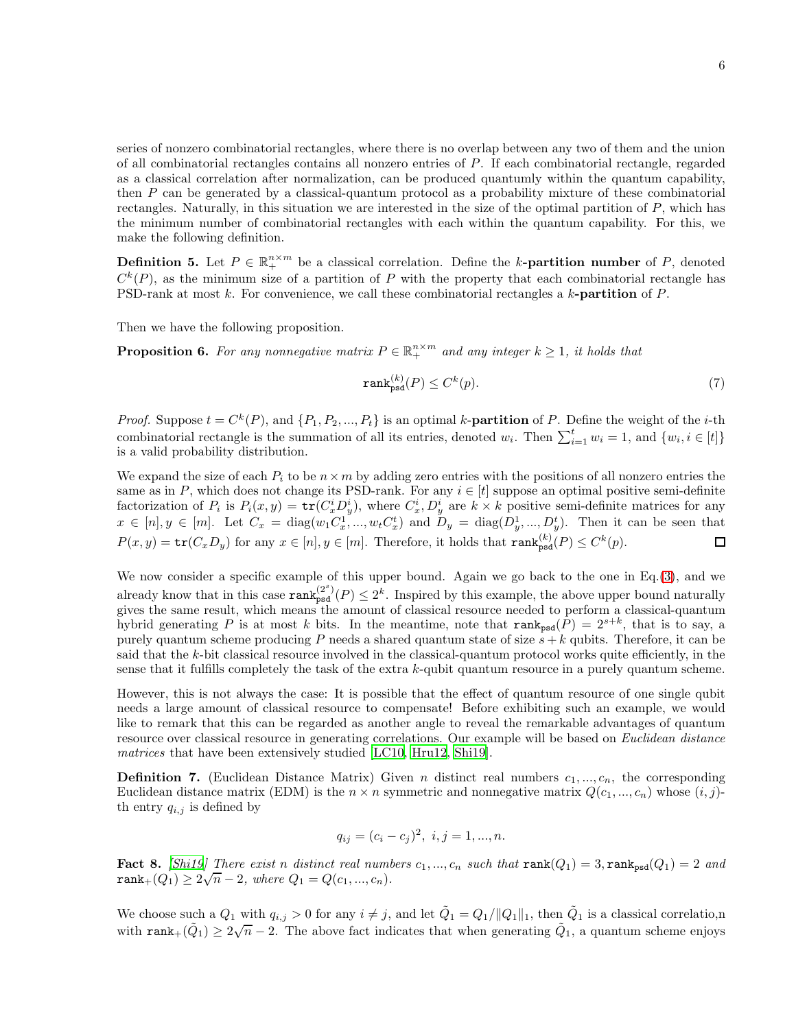series of nonzero combinatorial rectangles, where there is no overlap between any two of them and the union of all combinatorial rectangles contains all nonzero entries of P. If each combinatorial rectangle, regarded as a classical correlation after normalization, can be produced quantumly within the quantum capability, then P can be generated by a classical-quantum protocol as a probability mixture of these combinatorial rectangles. Naturally, in this situation we are interested in the size of the optimal partition of P, which has the minimum number of combinatorial rectangles with each within the quantum capability. For this, we make the following definition.

**Definition 5.** Let  $P \in \mathbb{R}_+^{n \times m}$  be a classical correlation. Define the k-**partition number** of P, denoted  $C^{k}(P)$ , as the minimum size of a partition of P with the property that each combinatorial rectangle has PSD-rank at most k. For convenience, we call these combinatorial rectangles a k-partition of P.

Then we have the following proposition.

**Proposition 6.** For any nonnegative matrix  $P \in \mathbb{R}^{n \times m}_+$  and any integer  $k \geq 1$ , it holds that

$$
\operatorname{rank}_{\text{psd}}^{(k)}(P) \le C^k(p). \tag{7}
$$

*Proof.* Suppose  $t = C^k(P)$ , and  $\{P_1, P_2, ..., P_t\}$  is an optimal k-**partition** of P. Define the weight of the *i*-th combinatorial rectangle is the summation of all its entries, denoted  $w_i$ . Then  $\sum_{i=1}^{t} w_i = 1$ , and  $\{w_i, i \in [t]\}$ is a valid probability distribution.

We expand the size of each  $P_i$  to be  $n \times m$  by adding zero entries with the positions of all nonzero entries the same as in P, which does not change its PSD-rank. For any  $i \in [t]$  suppose an optimal positive semi-definite factorization of  $P_i$  is  $P_i(x,y) = \text{tr}(C_x^i D_y^i)$ , where  $C_x^i, D_y^i$  are  $k \times k$  positive semi-definite matrices for any  $x \in [n], y \in [m]$ . Let  $C_x = \text{diag}(w_1 C_x^1, ..., w_t C_x^t)$  and  $D_y = \text{diag}(D_y^1, ..., D_y^t)$ . Then it can be seen that  $P(x, y) = \text{tr}(C_x D_y)$  for any  $x \in [n], y \in [m]$ . Therefore, it holds that  $\text{rank}_{\text{psd}}^{(k)}(P) \leq C^k(p)$ .  $\Box$ 

We now consider a specific example of this upper bound. Again we go back to the one in  $Eq.(3)$  $Eq.(3)$ , and we already know that in this case  $\text{rank}_{\text{psd}}^{(2^s)}(P) \leq 2^k$ . Inspired by this example, the above upper bound naturally gives the same result, which means the amount of classical resource needed to perform a classical-quantum hybrid generating P is at most k bits. In the meantime, note that  $\texttt{rank}_{psd}(P) = 2^{s+k}$ , that is to say, a purely quantum scheme producing P needs a shared quantum state of size  $s + k$  qubits. Therefore, it can be said that the k-bit classical resource involved in the classical-quantum protocol works quite efficiently, in the sense that it fulfills completely the task of the extra k-qubit quantum resource in a purely quantum scheme.

However, this is not always the case: It is possible that the effect of quantum resource of one single qubit needs a large amount of classical resource to compensate! Before exhibiting such an example, we would like to remark that this can be regarded as another angle to reveal the remarkable advantages of quantum resource over classical resource in generating correlations. Our example will be based on Euclidean distance matrices that have been extensively studied [\[LC10,](#page-11-12) [Hru12,](#page-11-13) [Shi19\]](#page-11-14).

**Definition 7.** (Euclidean Distance Matrix) Given *n* distinct real numbers  $c_1, ..., c_n$ , the corresponding Euclidean distance matrix (EDM) is the  $n \times n$  symmetric and nonnegative matrix  $Q(c_1, ..., c_n)$  whose  $(i, j)$ th entry  $q_{i,j}$  is defined by

$$
q_{ij} = (c_i - c_j)^2, \ i, j = 1, ..., n.
$$

Fact 8. [\[Shi19](#page-11-14)] There exist n distinct real numbers  $c_1, ..., c_n$  such that  $rank(Q_1) = 3$ ,  $rank_{psd}(Q_1) = 2$  and rank<sub>+</sub>( $Q_1$ )  $\geq 2\sqrt{n} - 2$ , where  $Q_1 = Q(c_1, ..., c_n)$ .

We choose such a  $Q_1$  with  $q_{i,j} > 0$  for any  $i \neq j$ , and let  $\tilde{Q}_1 = Q_1 / ||Q_1||_1$ , then  $\tilde{Q}_1$  is a classical correlatio,n with rank+ $(\tilde{Q}_1) \geq 2\sqrt{n} - 2$ . The above fact indicates that when generating  $\tilde{Q}_1$ , a quantum scheme enjoys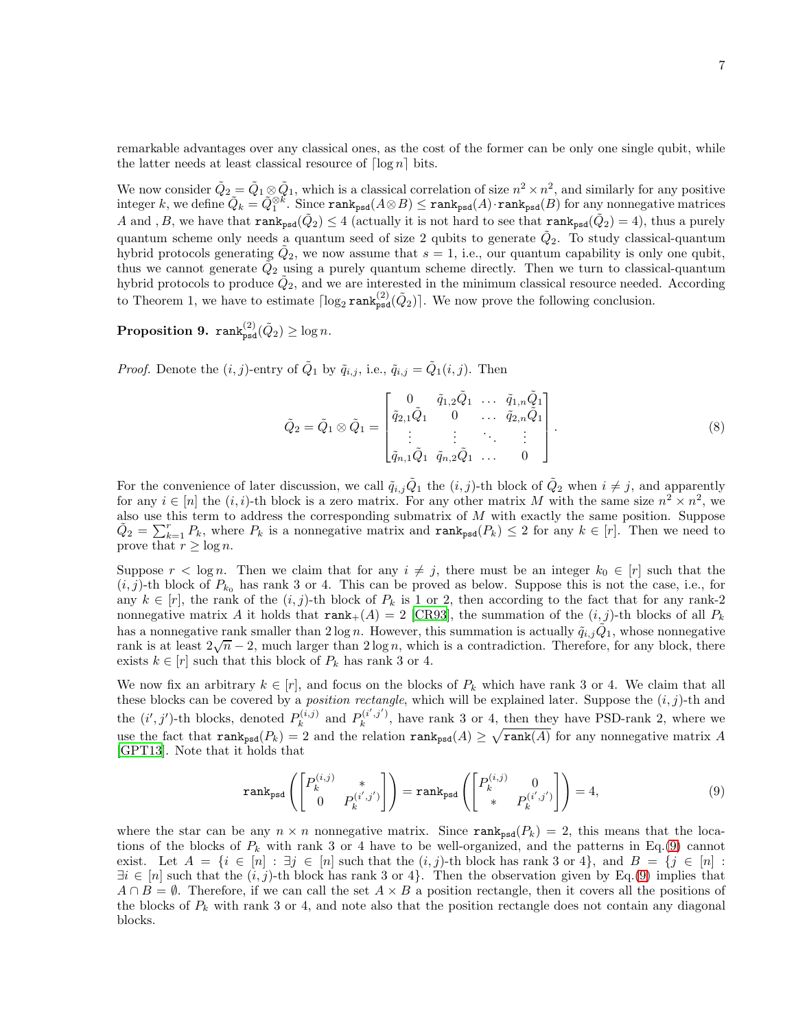remarkable advantages over any classical ones, as the cost of the former can be only one single qubit, while the latter needs at least classical resource of  $\lceil \log n \rceil$  bits.

We now consider  $\tilde{Q}_2 = \tilde{Q}_1 \otimes \tilde{Q}_1$ , which is a classical correlation of size  $n^2 \times n^2$ , and similarly for any positive  $\text{integer } k, \text{ we define } \tilde{Q}_k = \tilde{Q}_1^{\otimes k}. \text{ Since } \texttt{rank}_{\texttt{psd}}(A \otimes B) \leq \texttt{rank}_{\texttt{psd}}(A) \cdot \texttt{rank}_{\texttt{psd}}(B) \text{ for any nonnegative matrices}$ A and, B, we have that  $\text{rank}_{\text{psd}}(\tilde{Q}_2) \leq 4$  (actually it is not hard to see that  $\text{rank}_{\text{psd}}(\tilde{Q}_2) = 4$ ), thus a purely quantum scheme only needs a quantum seed of size 2 qubits to generate  $\tilde{Q}_2$ . To study classical-quantum hybrid protocols generating  $\tilde{Q}_2$ , we now assume that  $s = 1$ , i.e., our quantum capability is only one qubit, thus we cannot generate  $\tilde{Q}_2$  using a purely quantum scheme directly. Then we turn to classical-quantum hybrid protocols to produce  $\tilde{Q}_2$ , and we are interested in the minimum classical resource needed. According to Theorem 1, we have to estimate  $\lceil \log_2 \text{rank}_{\text{psd}}^{(2)}(\tilde{Q}_2) \rceil$ . We now prove the following conclusion.

# <span id="page-6-1"></span> $\mathbf{Proposition \: 9. \:} \: \mathbf{rank}^{(2)}_{\mathbf{psd}}(\tilde{Q}_2) \geq \log n.$

*Proof.* Denote the  $(i, j)$ -entry of  $\tilde{Q}_1$  by  $\tilde{q}_{i,j}$ , i.e.,  $\tilde{q}_{i,j} = \tilde{Q}_1(i, j)$ . Then

<span id="page-6-2"></span>
$$
\tilde{Q}_2 = \tilde{Q}_1 \otimes \tilde{Q}_1 = \begin{bmatrix} 0 & \tilde{q}_{1,2}\tilde{Q}_1 & \dots & \tilde{q}_{1,n}\tilde{Q}_1 \\ \tilde{q}_{2,1}\tilde{Q}_1 & 0 & \dots & \tilde{q}_{2,n}\tilde{Q}_1 \\ \vdots & \vdots & \ddots & \vdots \\ \tilde{q}_{n,1}\tilde{Q}_1 & \tilde{q}_{n,2}\tilde{Q}_1 & \dots & 0 \end{bmatrix} . \tag{8}
$$

For the convenience of later discussion, we call  $\tilde{q}_{i,j}\tilde{Q}_1$  the  $(i, j)$ -th block of  $\tilde{Q}_2$  when  $i \neq j$ , and apparently for any  $i \in [n]$  the  $(i, i)$ -th block is a zero matrix. For any other matrix M with the same size  $n^2 \times n^2$ , we also use this term to address the corresponding submatrix of  $M$  with exactly the same position. Suppose  $\tilde{Q}_2 = \sum_{k=1}^r P_k$ , where  $P_k$  is a nonnegative matrix and  $\text{rank}_{psd}(P_k) \leq 2$  for any  $k \in [r]$ . Then we need to prove that  $r \geq \log n$ .

Suppose  $r < \log n$ . Then we claim that for any  $i \neq j$ , there must be an integer  $k_0 \in [r]$  such that the  $(i, j)$ -th block of  $P_{k_0}$  has rank 3 or 4. This can be proved as below. Suppose this is not the case, i.e., for any  $k \in [r]$ , the rank of the  $(i, j)$ -th block of  $P_k$  is 1 or 2, then according to the fact that for any rank-2 nonnegative matrix A it holds that  $\text{rank}_+(A) = 2$  [\[CR93\]](#page-11-15), the summation of the  $(i, j)$ -th blocks of all  $P_k$ has a nonnegative rank smaller than  $2\log n$ . However, this summation is actually  $\tilde{q}_{i,j}\tilde{Q}_1$ , whose nonnegative rank is at least  $2\sqrt{n} - 2$ , much larger than  $2 \log n$ , which is a contradiction. Therefore, for any block, there exists  $k \in [r]$  such that this block of  $P_k$  has rank 3 or 4.

We now fix an arbitrary  $k \in [r]$ , and focus on the blocks of  $P_k$  which have rank 3 or 4. We claim that all these blocks can be covered by a *position rectangle*, which will be explained later. Suppose the  $(i, j)$ -th and the  $(i', j')$ -th blocks, denoted  $P_k^{(i,j)}$  $P_k^{(i,j)}$  and  $P_k^{(i',j')}$  $\mathbb{R}^{(i,j)}$ , have rank 3 or 4, then they have PSD-rank 2, where we use the fact that  $\text{rank}_{\text{psd}}(P_k) = 2$  and the relation  $\text{rank}_{\text{psd}}(A) \geq \sqrt{\text{rank}(A)}$  for any nonnegative matrix A [\[GPT13\]](#page-11-16). Note that it holds that

<span id="page-6-0"></span>
$$
\operatorname{rank}_{\text{psd}}\left(\begin{bmatrix} P_k^{(i,j)} & * \\ 0 & P_k^{(i',j')} \end{bmatrix}\right) = \operatorname{rank}_{\text{psd}}\left(\begin{bmatrix} P_k^{(i,j)} & 0 \\ * & P_k^{(i',j')} \end{bmatrix}\right) = 4,\tag{9}
$$

where the star can be any  $n \times n$  nonnegative matrix. Since rank<sub>psd</sub> $(P_k) = 2$ , this means that the locations of the blocks of  $P_k$  with rank 3 or 4 have to be well-organized, and the patterns in Eq.[\(9\)](#page-6-0) cannot exist. Let  $A = \{i \in [n] : \exists j \in [n] \text{ such that the } (i,j)$ -th block has rank 3 or 4, and  $B = \{j \in [n] : \exists j \in [n] \text{ such that } (i,j)$ -th block has rank 3 or 4,  $\exists i \in [n]$  such that the  $(i, j)$ -th block has rank 3 or 4}. Then the observation given by Eq.[\(9\)](#page-6-0) implies that  $A \cap B = \emptyset$ . Therefore, if we can call the set  $A \times B$  a position rectangle, then it covers all the positions of the blocks of  $P_k$  with rank 3 or 4, and note also that the position rectangle does not contain any diagonal blocks.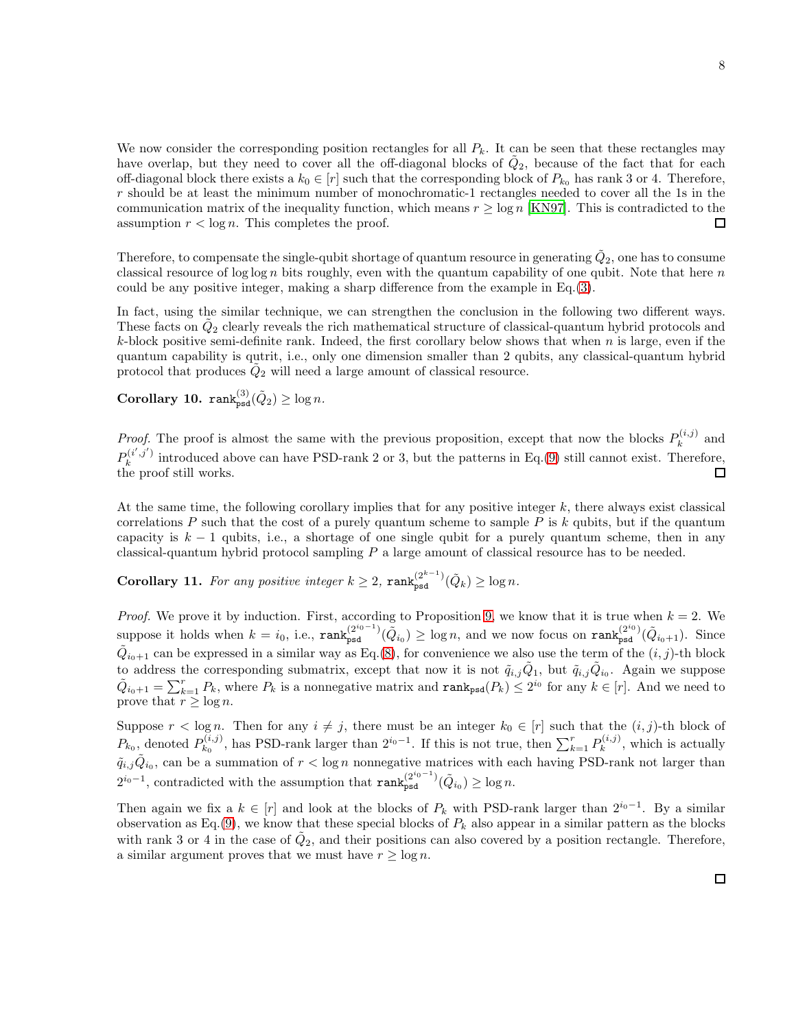We now consider the corresponding position rectangles for all  $P_k$ . It can be seen that these rectangles may have overlap, but they need to cover all the off-diagonal blocks of  $\tilde{Q}_2$ , because of the fact that for each off-diagonal block there exists a  $k_0 \in [r]$  such that the corresponding block of  $P_{k_0}$  has rank 3 or 4. Therefore,  $r$  should be at least the minimum number of monochromatic-1 rectangles needed to cover all the 1s in the communication matrix of the inequality function, which means  $r \ge \log n$  [\[KN97\]](#page-11-17). This is contradicted to the assumption  $r < \log n$ . This completes the proof. assumption  $r < \log n$ . This completes the proof.

Therefore, to compensate the single-qubit shortage of quantum resource in generating  $\tilde{Q}_2,$  one has to consume classical resource of  $\log \log n$  bits roughly, even with the quantum capability of one qubit. Note that here n could be any positive integer, making a sharp difference from the example in Eq.[\(3\)](#page-3-0).

In fact, using the similar technique, we can strengthen the conclusion in the following two different ways. These facts on  $\tilde{Q}_2$  clearly reveals the rich mathematical structure of classical-quantum hybrid protocols and  $k$ -block positive semi-definite rank. Indeed, the first corollary below shows that when  $n$  is large, even if the quantum capability is qutrit, i.e., only one dimension smaller than 2 qubits, any classical-quantum hybrid protocol that produces  $\tilde{Q}_2$  will need a large amount of classical resource.

Corollary 10.  $\text{rank}_{\text{psd}}^{(3)}(\tilde{Q}_2) \ge \log n$ .

*Proof.* The proof is almost the same with the previous proposition, except that now the blocks  $P_k^{(i,j)}$  $\boldsymbol{h}^{(i,j)}$  and  $P_k^{(i',j')}$  $\mathbb{R}^{(i,j)}$  introduced above can have PSD-rank 2 or 3, but the patterns in Eq.[\(9\)](#page-6-0) still cannot exist. Therefore, the proof still works.  $\Box$ 

At the same time, the following corollary implies that for any positive integer k, there always exist classical correlations P such that the cost of a purely quantum scheme to sample P is  $k$  qubits, but if the quantum capacity is  $k - 1$  qubits, i.e., a shortage of one single qubit for a purely quantum scheme, then in any classical-quantum hybrid protocol sampling P a large amount of classical resource has to be needed.

Corollary 11. For any positive integer  $k \geq 2$ ,  $\text{rank}_{\text{psd}}^{(2^{k-1})}(\tilde{Q}_k) \geq \log n$ .

*Proof.* We prove it by induction. First, according to Proposition [9,](#page-6-1) we know that it is true when  $k = 2$ . We suppose it holds when  $k = i_0$ , i.e.,  $\text{rank}_{\text{psd}}^{(2^{i_0}-1)}(\tilde{Q}_{i_0}) \geq \log n$ , and we now focus on  $\text{rank}_{\text{psd}}^{(2^{i_0})}(\tilde{Q}_{i_0+1})$ . Since  $\tilde{Q}_{i_0+1}$  can be expressed in a similar way as Eq.[\(8\)](#page-6-2), for convenience we also use the term of the  $(i, j)$ -th block to address the corresponding submatrix, except that now it is not  $\tilde{q}_{i,j}\tilde{Q}_1$ , but  $\tilde{q}_{i,j}\tilde{Q}_{i_0}$ . Again we suppose  $\tilde{Q}_{i_0+1} = \sum_{k=1}^r P_k$ , where  $P_k$  is a nonnegative matrix and  $\text{rank}_{\text{psd}}(P_k) \leq 2^{i_0}$  for any  $k \in [r]$ . And we need to prove that  $r \geq \log n$ .

Suppose  $r < \log n$ . Then for any  $i \neq j$ , there must be an integer  $k_0 \in [r]$  such that the  $(i, j)$ -th block of  $P_{k_0}$ , denoted  $P_{k_0}^{(i,j)}$  $b_{k_0}^{(i,j)}$ , has PSD-rank larger than  $2^{i_0-1}$ . If this is not true, then  $\sum_{k=1}^r P_k^{(i,j)}$  $\mathbf{k}^{(i,j)}$ , which is actually  $\tilde{q}_{i,j}\tilde{Q}_{i_0}$ , can be a summation of  $r < \log n$  nonnegative matrices with each having PSD-rank not larger than  $2^{i_0-1}$ , contradicted with the assumption that  $\text{rank}_{\text{psd}}^{(2^{i_0-1})}(\tilde{Q}_{i_0}) \ge \log n$ .

Then again we fix a  $k \in [r]$  and look at the blocks of  $P_k$  with PSD-rank larger than  $2^{i_0-1}$ . By a similar observation as Eq.[\(9\)](#page-6-0), we know that these special blocks of  $P_k$  also appear in a similar pattern as the blocks with rank 3 or 4 in the case of  $\tilde{Q}_2$ , and their positions can also covered by a position rectangle. Therefore, a similar argument proves that we must have  $r \geq \log n$ .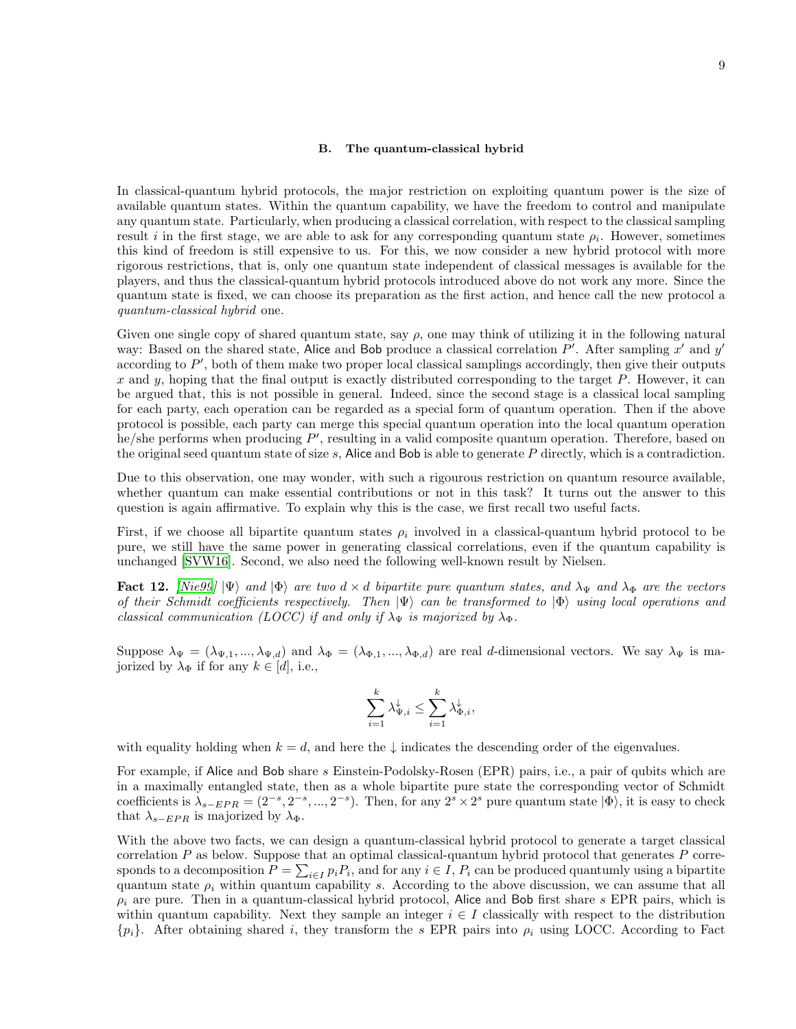#### B. The quantum-classical hybrid

In classical-quantum hybrid protocols, the major restriction on exploiting quantum power is the size of available quantum states. Within the quantum capability, we have the freedom to control and manipulate any quantum state. Particularly, when producing a classical correlation, with respect to the classical sampling result i in the first stage, we are able to ask for any corresponding quantum state  $\rho_i$ . However, sometimes this kind of freedom is still expensive to us. For this, we now consider a new hybrid protocol with more rigorous restrictions, that is, only one quantum state independent of classical messages is available for the players, and thus the classical-quantum hybrid protocols introduced above do not work any more. Since the quantum state is fixed, we can choose its preparation as the first action, and hence call the new protocol a quantum-classical hybrid one.

Given one single copy of shared quantum state, say  $\rho$ , one may think of utilizing it in the following natural way: Based on the shared state, Alice and Bob produce a classical correlation  $P'$ . After sampling x' and y' according to P', both of them make two proper local classical samplings accordingly, then give their outputs  $x$  and  $y$ , hoping that the final output is exactly distributed corresponding to the target  $P$ . However, it can be argued that, this is not possible in general. Indeed, since the second stage is a classical local sampling for each party, each operation can be regarded as a special form of quantum operation. Then if the above protocol is possible, each party can merge this special quantum operation into the local quantum operation he/she performs when producing P', resulting in a valid composite quantum operation. Therefore, based on the original seed quantum state of size s, Alice and Bob is able to generate  $P$  directly, which is a contradiction.

Due to this observation, one may wonder, with such a rigourous restriction on quantum resource available, whether quantum can make essential contributions or not in this task? It turns out the answer to this question is again affirmative. To explain why this is the case, we first recall two useful facts.

First, if we choose all bipartite quantum states  $\rho_i$  involved in a classical-quantum hybrid protocol to be pure, we still have the same power in generating classical correlations, even if the quantum capability is unchanged [\[SVW16\]](#page-11-18). Second, we also need the following well-known result by Nielsen.

<span id="page-8-0"></span>Fact 12. [\[Nie99](#page-11-19)]  $|\Psi\rangle$  and  $|\Phi\rangle$  are two d  $\times$  d bipartite pure quantum states, and  $\lambda_{\Psi}$  and  $\lambda_{\Phi}$  are the vectors of their Schmidt coefficients respectively. Then  $|\Psi\rangle$  can be transformed to  $|\Phi\rangle$  using local operations and classical communication (LOCC) if and only if  $\lambda_{\Psi}$  is majorized by  $\lambda_{\Phi}$ .

Suppose  $\lambda_{\Psi} = (\lambda_{\Psi,1}, ..., \lambda_{\Psi,d})$  and  $\lambda_{\Phi} = (\lambda_{\Phi,1}, ..., \lambda_{\Phi,d})$  are real d-dimensional vectors. We say  $\lambda_{\Psi}$  is majorized by  $\lambda_{\Phi}$  if for any  $k \in [d]$ , i.e.,

$$
\sum_{i=1}^k \lambda_{\Psi,i}^\downarrow \leq \sum_{i=1}^k \lambda_{\Phi,i}^\downarrow,
$$

with equality holding when  $k = d$ , and here the  $\downarrow$  indicates the descending order of the eigenvalues.

For example, if Alice and Bob share s Einstein-Podolsky-Rosen (EPR) pairs, i.e., a pair of qubits which are in a maximally entangled state, then as a whole bipartite pure state the corresponding vector of Schmidt coefficients is  $\lambda_{s-EPR} = (2^{-s}, 2^{-s}, ..., 2^{-s})$ . Then, for any  $2^s \times 2^s$  pure quantum state  $|\Phi\rangle$ , it is easy to check that  $\lambda_{s-EPR}$  is majorized by  $\lambda_{\Phi}$ .

With the above two facts, we can design a quantum-classical hybrid protocol to generate a target classical correlation  $P$  as below. Suppose that an optimal classical-quantum hybrid protocol that generates  $P$  corresponds to a decomposition  $P = \sum_{i \in I} p_i P_i$ , and for any  $i \in I$ ,  $P_i$  can be produced quantumly using a bipartite quantum state  $\rho_i$  within quantum capability s. According to the above discussion, we can assume that all  $\rho_i$  are pure. Then in a quantum-classical hybrid protocol, Alice and Bob first share s EPR pairs, which is within quantum capability. Next they sample an integer  $i \in I$  classically with respect to the distribution  ${p_i}$ . After obtaining shared i, they transform the s EPR pairs into  $\rho_i$  using LOCC. According to Fact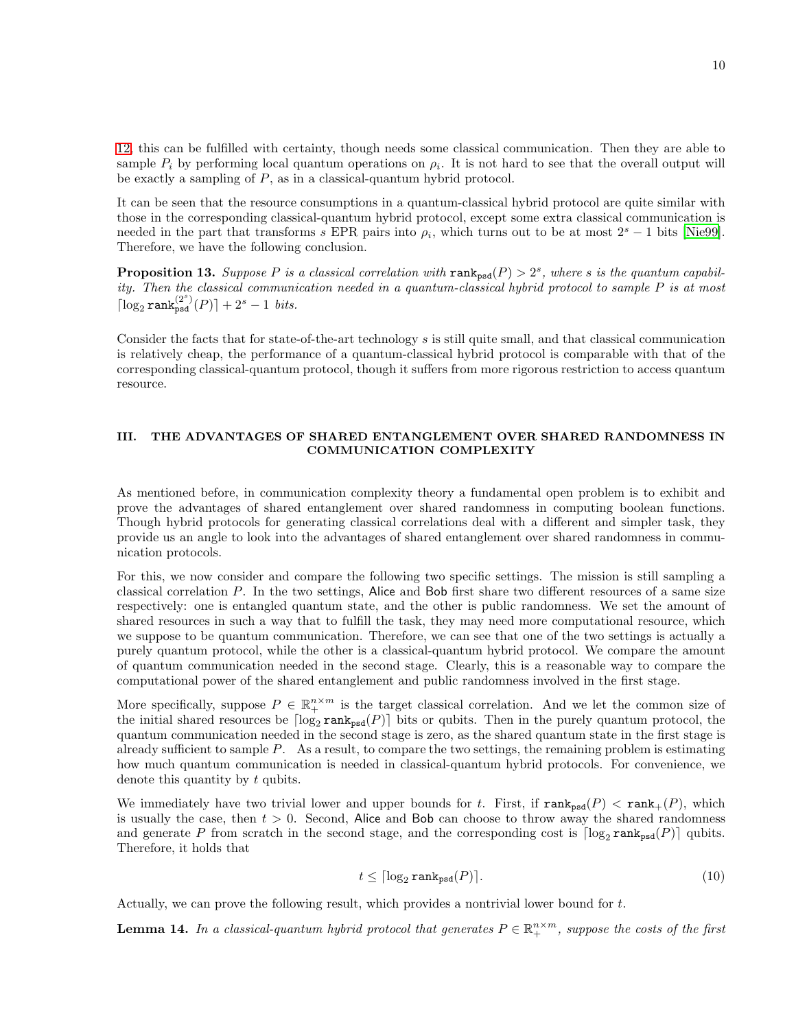[12,](#page-8-0) this can be fulfilled with certainty, though needs some classical communication. Then they are able to sample  $P_i$  by performing local quantum operations on  $\rho_i$ . It is not hard to see that the overall output will be exactly a sampling of  $P$ , as in a classical-quantum hybrid protocol.

It can be seen that the resource consumptions in a quantum-classical hybrid protocol are quite similar with those in the corresponding classical-quantum hybrid protocol, except some extra classical communication is needed in the part that transforms s EPR pairs into  $\rho_i$ , which turns out to be at most  $2^s - 1$  bits [\[Nie99\]](#page-11-19). Therefore, we have the following conclusion.

**Proposition 13.** Suppose P is a classical correlation with  $\text{rank}_{psd}(P) > 2^s$ , where s is the quantum capability. Then the classical communication needed in a quantum-classical hybrid protocol to sample P is at most  $\lceil \log_2 \texttt{rank}_{\texttt{psd}}^{(2^s)}(P) \rceil + 2^s - 1 \; \textit{bits.}$ 

Consider the facts that for state-of-the-art technology s is still quite small, and that classical communication is relatively cheap, the performance of a quantum-classical hybrid protocol is comparable with that of the corresponding classical-quantum protocol, though it suffers from more rigorous restriction to access quantum resource.

# III. THE ADVANTAGES OF SHARED ENTANGLEMENT OVER SHARED RANDOMNESS IN COMMUNICATION COMPLEXITY

As mentioned before, in communication complexity theory a fundamental open problem is to exhibit and prove the advantages of shared entanglement over shared randomness in computing boolean functions. Though hybrid protocols for generating classical correlations deal with a different and simpler task, they provide us an angle to look into the advantages of shared entanglement over shared randomness in communication protocols.

For this, we now consider and compare the following two specific settings. The mission is still sampling a classical correlation P. In the two settings, Alice and Bob first share two different resources of a same size respectively: one is entangled quantum state, and the other is public randomness. We set the amount of shared resources in such a way that to fulfill the task, they may need more computational resource, which we suppose to be quantum communication. Therefore, we can see that one of the two settings is actually a purely quantum protocol, while the other is a classical-quantum hybrid protocol. We compare the amount of quantum communication needed in the second stage. Clearly, this is a reasonable way to compare the computational power of the shared entanglement and public randomness involved in the first stage.

More specifically, suppose  $P \in \mathbb{R}^{n \times m}_{+}$  is the target classical correlation. And we let the common size of the initial shared resources be  $\lceil \log_2 \text{rank}_{\text{psd}}(P) \rceil$  bits or qubits. Then in the purely quantum protocol, the quantum communication needed in the second stage is zero, as the shared quantum state in the first stage is already sufficient to sample P. As a result, to compare the two settings, the remaining problem is estimating how much quantum communication is needed in classical-quantum hybrid protocols. For convenience, we denote this quantity by t qubits.

We immediately have two trivial lower and upper bounds for t. First, if  $\text{rank}_{\text{psd}}(P) < \text{rank}_{+}(P)$ , which is usually the case, then  $t > 0$ . Second, Alice and Bob can choose to throw away the shared randomness and generate P from scratch in the second stage, and the corresponding cost is  $\lceil \log_2 \text{rank}_{\text{psd}}(P) \rceil$  qubits. Therefore, it holds that

<span id="page-9-0"></span>
$$
t \leq \lceil \log_2 \text{rank}_{\text{psd}}(P) \rceil. \tag{10}
$$

Actually, we can prove the following result, which provides a nontrivial lower bound for t.

**Lemma 14.** In a classical-quantum hybrid protocol that generates  $P \in \mathbb{R}_+^{n \times m}$ , suppose the costs of the first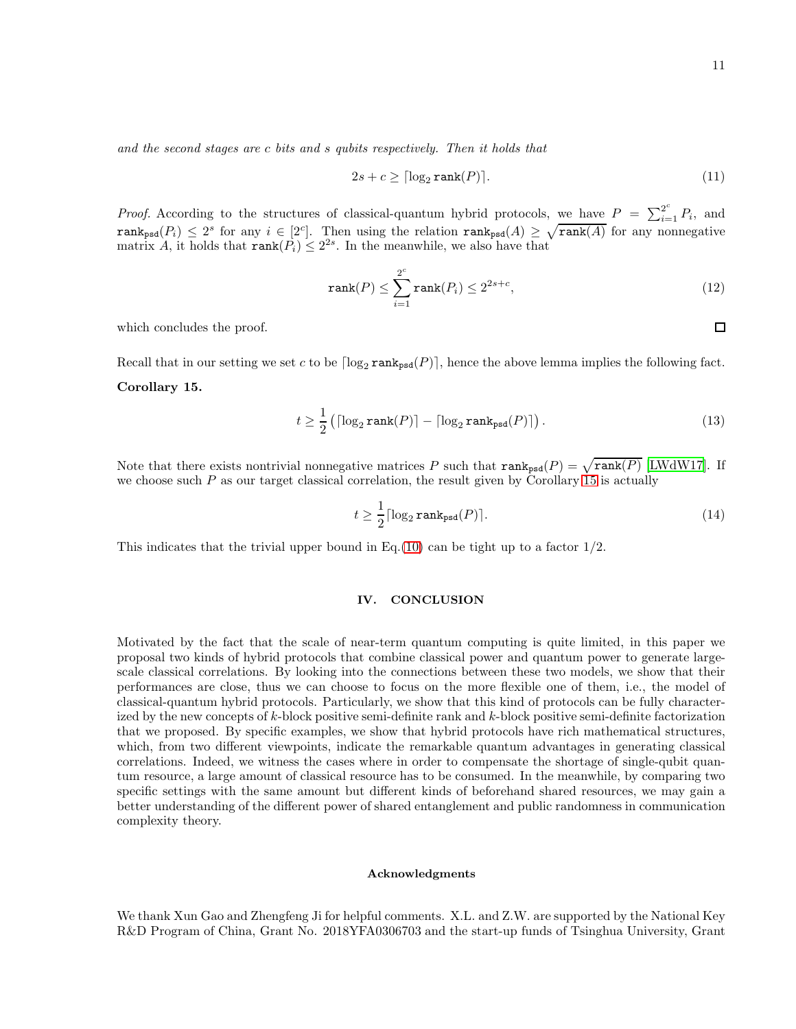and the second stages are c bits and s qubits respectively. Then it holds that

$$
2s + c \ge \lceil \log_2 \text{rank}(P) \rceil. \tag{11}
$$

*Proof.* According to the structures of classical-quantum hybrid protocols, we have  $P = \sum_{i=1}^{2^c} P_i$ , and  $rank_{psd}(P_i) \leq 2^s$  for any  $i \in [2^c]$ . Then using the relation  $rank_{psd}(A) \geq \sqrt{rank(A)}$  for any nonnegative matrix A, it holds that  $\text{rank}(P_i) \leq 2^{2s}$ . In the meanwhile, we also have that

$$
\operatorname{rank}(P) \le \sum_{i=1}^{2^c} \operatorname{rank}(P_i) \le 2^{2s+c},\tag{12}
$$

which concludes the proof.

Recall that in our setting we set c to be  $\lceil \log_2 \text{rank}_{\text{psd}}(P) \rceil$ , hence the above lemma implies the following fact.

## <span id="page-10-0"></span>Corollary 15.

$$
t \ge \frac{1}{2} \left( \lceil \log_2 \operatorname{rank}(P) \rceil - \lceil \log_2 \operatorname{rank}_{\rm psd}(P) \rceil \right). \tag{13}
$$

Note that there exists nontrivial nonnegative matrices P such that  $\text{rank}_{psd}(P) = \sqrt{\text{rank}(P)}$  [\[LWdW17](#page-11-20)]. If we choose such  $P$  as our target classical correlation, the result given by Corollary [15](#page-10-0) is actually

$$
t \ge \frac{1}{2} \lceil \log_2 \text{rank}_{\text{psd}}(P) \rceil. \tag{14}
$$

This indicates that the trivial upper bound in Eq.[\(10\)](#page-9-0) can be tight up to a factor  $1/2$ .

## IV. CONCLUSION

Motivated by the fact that the scale of near-term quantum computing is quite limited, in this paper we proposal two kinds of hybrid protocols that combine classical power and quantum power to generate largescale classical correlations. By looking into the connections between these two models, we show that their performances are close, thus we can choose to focus on the more flexible one of them, i.e., the model of classical-quantum hybrid protocols. Particularly, we show that this kind of protocols can be fully characterized by the new concepts of k-block positive semi-definite rank and k-block positive semi-definite factorization that we proposed. By specific examples, we show that hybrid protocols have rich mathematical structures, which, from two different viewpoints, indicate the remarkable quantum advantages in generating classical correlations. Indeed, we witness the cases where in order to compensate the shortage of single-qubit quantum resource, a large amount of classical resource has to be consumed. In the meanwhile, by comparing two specific settings with the same amount but different kinds of beforehand shared resources, we may gain a better understanding of the different power of shared entanglement and public randomness in communication complexity theory.

### Acknowledgments

We thank Xun Gao and Zhengfeng Ji for helpful comments. X.L. and Z.W. are supported by the National Key R&D Program of China, Grant No. 2018YFA0306703 and the start-up funds of Tsinghua University, Grant

 $\Box$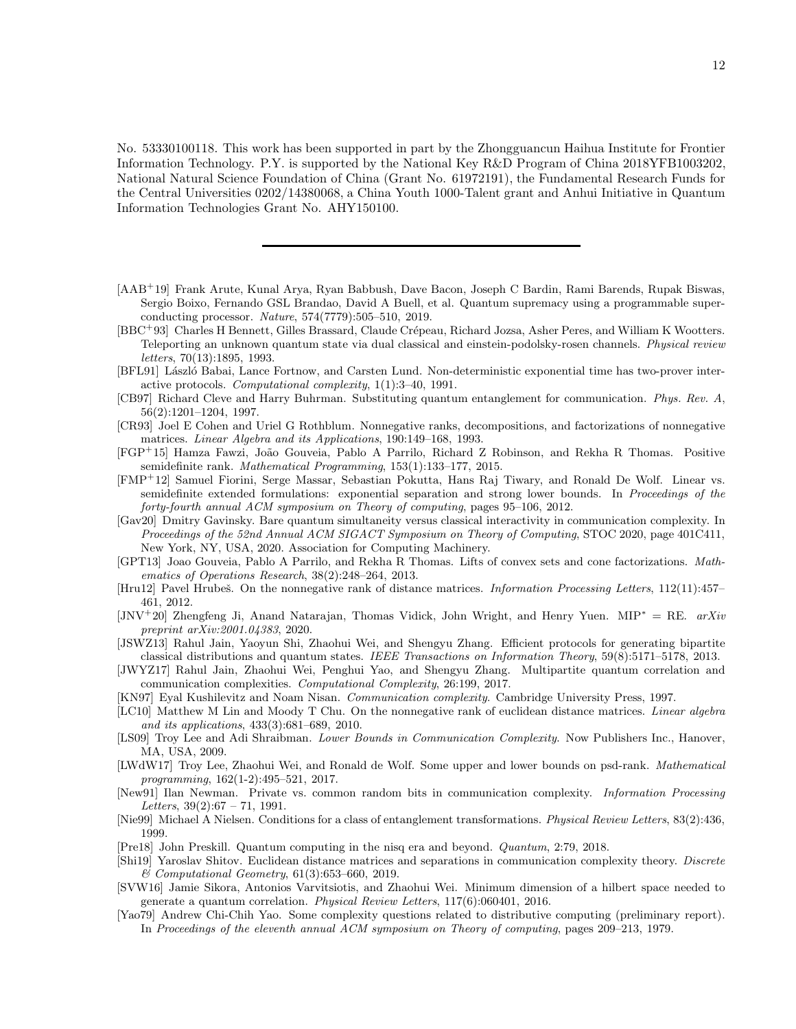No. 53330100118. This work has been supported in part by the Zhongguancun Haihua Institute for Frontier Information Technology. P.Y. is supported by the National Key R&D Program of China 2018YFB1003202, National Natural Science Foundation of China (Grant No. 61972191), the Fundamental Research Funds for the Central Universities 0202/14380068, a China Youth 1000-Talent grant and Anhui Initiative in Quantum Information Technologies Grant No. AHY150100.

- <span id="page-11-4"></span>[AAB<sup>+</sup>19] Frank Arute, Kunal Arya, Ryan Babbush, Dave Bacon, Joseph C Bardin, Rami Barends, Rupak Biswas, Sergio Boixo, Fernando GSL Brandao, David A Buell, et al. Quantum supremacy using a programmable superconducting processor. *Nature*, 574(7779):505–510, 2019.
- <span id="page-11-8"></span>[BBC<sup>+</sup>93] Charles H Bennett, Gilles Brassard, Claude Crépeau, Richard Jozsa, Asher Peres, and William K Wootters. Teleporting an unknown quantum state via dual classical and einstein-podolsky-rosen channels. *Physical review letters*, 70(13):1895, 1993.
- <span id="page-11-10"></span>[BFL91] László Babai, Lance Fortnow, and Carsten Lund. Non-deterministic exponential time has two-prover interactive protocols. *Computational complexity*, 1(1):3–40, 1991.
- <span id="page-11-7"></span>[CB97] Richard Cleve and Harry Buhrman. Substituting quantum entanglement for communication. *Phys. Rev. A*, 56(2):1201–1204, 1997.
- <span id="page-11-15"></span>[CR93] Joel E Cohen and Uriel G Rothblum. Nonnegative ranks, decompositions, and factorizations of nonnegative matrices. *Linear Algebra and its Applications*, 190:149–168, 1993.
- <span id="page-11-3"></span>[FGP<sup>+</sup>15] Hamza Fawzi, Jo˜ao Gouveia, Pablo A Parrilo, Richard Z Robinson, and Rekha R Thomas. Positive semidefinite rank. *Mathematical Programming*, 153(1):133–177, 2015.
- <span id="page-11-2"></span>[FMP<sup>+</sup>12] Samuel Fiorini, Serge Massar, Sebastian Pokutta, Hans Raj Tiwary, and Ronald De Wolf. Linear vs. semidefinite extended formulations: exponential separation and strong lower bounds. In *Proceedings of the forty-fourth annual ACM symposium on Theory of computing*, pages 95–106, 2012.
- [Gav20] Dmitry Gavinsky. Bare quantum simultaneity versus classical interactivity in communication complexity. In *Proceedings of the 52nd Annual ACM SIGACT Symposium on Theory of Computing*, STOC 2020, page 401C411, New York, NY, USA, 2020. Association for Computing Machinery.
- <span id="page-11-16"></span>[GPT13] Joao Gouveia, Pablo A Parrilo, and Rekha R Thomas. Lifts of convex sets and cone factorizations. *Mathematics of Operations Research*, 38(2):248–264, 2013.
- <span id="page-11-13"></span>[Hru12] Pavel Hrubeˇs. On the nonnegative rank of distance matrices. *Information Processing Letters*, 112(11):457– 461, 2012.
- <span id="page-11-9"></span>[JNV<sup>+</sup>20] Zhengfeng Ji, Anand Natarajan, Thomas Vidick, John Wright, and Henry Yuen. MIP<sup>∗</sup> = RE. *arXiv preprint arXiv:2001.04383*, 2020.
- <span id="page-11-0"></span>[JSWZ13] Rahul Jain, Yaoyun Shi, Zhaohui Wei, and Shengyu Zhang. Efficient protocols for generating bipartite classical distributions and quantum states. *IEEE Transactions on Information Theory*, 59(8):5171–5178, 2013.
- <span id="page-11-1"></span>[JWYZ17] Rahul Jain, Zhaohui Wei, Penghui Yao, and Shengyu Zhang. Multipartite quantum correlation and communication complexities. *Computational Complexity*, 26:199, 2017.
- <span id="page-11-17"></span>[KN97] Eyal Kushilevitz and Noam Nisan. *Communication complexity*. Cambridge University Press, 1997.
- <span id="page-11-12"></span>[LC10] Matthew M Lin and Moody T Chu. On the nonnegative rank of euclidean distance matrices. *Linear algebra and its applications*, 433(3):681–689, 2010.
- [LS09] Troy Lee and Adi Shraibman. *Lower Bounds in Communication Complexity*. Now Publishers Inc., Hanover, MA, USA, 2009.
- <span id="page-11-20"></span>[LWdW17] Troy Lee, Zhaohui Wei, and Ronald de Wolf. Some upper and lower bounds on psd-rank. *Mathematical programming*, 162(1-2):495–521, 2017.
- <span id="page-11-6"></span>[New91] Ilan Newman. Private vs. common random bits in communication complexity. *Information Processing Letters*, 39(2):67 – 71, 1991.
- <span id="page-11-19"></span>[Nie99] Michael A Nielsen. Conditions for a class of entanglement transformations. *Physical Review Letters*, 83(2):436, 1999.
- <span id="page-11-5"></span>[Pre18] John Preskill. Quantum computing in the nisq era and beyond. *Quantum*, 2:79, 2018.
- <span id="page-11-14"></span>[Shi19] Yaroslav Shitov. Euclidean distance matrices and separations in communication complexity theory. *Discrete & Computational Geometry*, 61(3):653–660, 2019.
- <span id="page-11-18"></span>[SVW16] Jamie Sikora, Antonios Varvitsiotis, and Zhaohui Wei. Minimum dimension of a hilbert space needed to generate a quantum correlation. *Physical Review Letters*, 117(6):060401, 2016.
- <span id="page-11-11"></span>[Yao79] Andrew Chi-Chih Yao. Some complexity questions related to distributive computing (preliminary report). In *Proceedings of the eleventh annual ACM symposium on Theory of computing*, pages 209–213, 1979.